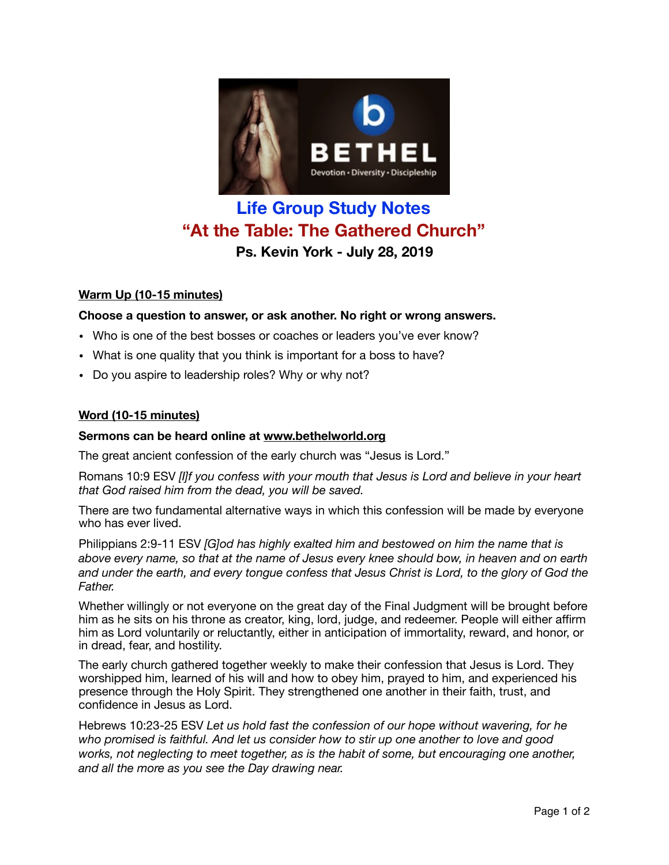

# **Life Group Study Notes "At the Table: The Gathered Church" Ps. Kevin York - July 28, 2019**

## **Warm Up (10-15 minutes)**

## **Choose a question to answer, or ask another. No right or wrong answers.**

- Who is one of the best bosses or coaches or leaders you've ever know?
- What is one quality that you think is important for a boss to have?
- Do you aspire to leadership roles? Why or why not?

#### **Word (10-15 minutes)**

#### **Sermons can be heard online at [www.bethelworld.org](http://www.bethelworld.org)**

The great ancient confession of the early church was "Jesus is Lord."

Romans 10:9 ESV *[I]f you confess with your mouth that Jesus is Lord and believe in your heart that God raised him from the dead, you will be saved.*

There are two fundamental alternative ways in which this confession will be made by everyone who has ever lived.

Philippians 2:9-11 ESV *[G]od has highly exalted him and bestowed on him the name that is above every name, so that at the name of Jesus every knee should bow, in heaven and on earth and under the earth, and every tongue confess that Jesus Christ is Lord, to the glory of God the Father.*

Whether willingly or not everyone on the great day of the Final Judgment will be brought before him as he sits on his throne as creator, king, lord, judge, and redeemer. People will either affirm him as Lord voluntarily or reluctantly, either in anticipation of immortality, reward, and honor, or in dread, fear, and hostility.

The early church gathered together weekly to make their confession that Jesus is Lord. They worshipped him, learned of his will and how to obey him, prayed to him, and experienced his presence through the Holy Spirit. They strengthened one another in their faith, trust, and confidence in Jesus as Lord.

Hebrews 10:23-25 ESV *Let us hold fast the confession of our hope without wavering, for he who promised is faithful. And let us consider how to stir up one another to love and good works, not neglecting to meet together, as is the habit of some, but encouraging one another, and all the more as you see the Day drawing near.*